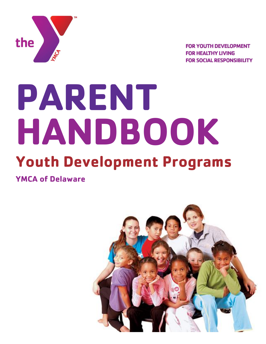

**FOR YOUTH DEVELOPMENT FOR HEALTHY LIVING FOR SOCIAL RESPONSIBILITY** 

# **PARENT HANDBOOK Youth Development Programs**

**YMCA of Delaware**

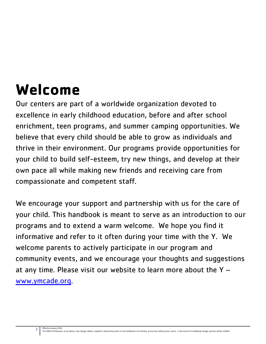## **Welcome**

Our centers are part of a worldwide organization devoted to excellence in early childhood education, before and after school enrichment, teen programs, and summer camping opportunities. We believe that every child should be able to grow as individuals and thrive in their environment. Our programs provide opportunities for your child to build self-esteem, try new things, and develop at their own pace all while making new friends and receiving care from compassionate and competent staff.

We encourage your support and partnership with us for the care of your child. This handbook is meant to serve as an introduction to our programs and to extend a warm welcome. We hope you find it informative and refer to it often during your time with the Y. We welcome parents to actively participate in our program and community events, and we encourage your thoughts and suggestions at any time. Please visit our website to learn more about the Y – [www.ymcade.org.](http://www.ymcade.org/)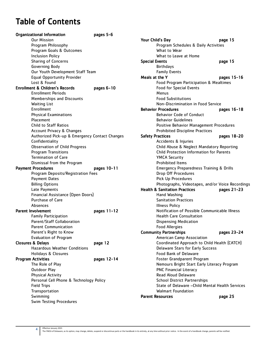## Table of Contents

| <b>Organizational Information</b>              | pages 5-6   |
|------------------------------------------------|-------------|
| <b>Our Mission</b>                             |             |
| Program Philosophy                             |             |
| Program Goals & Outcomes                       |             |
| <b>Inclusion Policy</b>                        |             |
| <b>Sharing of Concerns</b>                     |             |
| Governing Body                                 |             |
| Our Youth Development Staff Team               |             |
| <b>Equal Opportunity Provider</b>              |             |
| Lost & Found                                   |             |
| <b>Enrollment &amp; Children's Records</b>     | pages 6-10  |
| <b>Enrollment Periods</b>                      |             |
| Memberships and Discounts                      |             |
| <b>Waiting List</b>                            |             |
| Enrollment                                     |             |
| <b>Physical Examinations</b>                   |             |
| Placement                                      |             |
| <b>Child to Staff Ratios</b>                   |             |
| <b>Account Privacy &amp; Changes</b>           |             |
| Authorized Pick-up & Emergency Contact Changes |             |
| Confidentiality                                |             |
| <b>Observation of Child Progress</b>           |             |
| <b>Program Transitions</b>                     |             |
| <b>Termination of Care</b>                     |             |
| Dismissal from the Program                     |             |
| <b>Payment Procedures</b>                      | pages 10-11 |
| Program Deposits/Registration Fees             |             |
| <b>Payment Dates</b>                           |             |
| <b>Billing Options</b>                         |             |
| Late Payments                                  |             |
| Financial Assistance (Open Doors)              |             |
| Purchase of Care                               |             |
| Absences                                       |             |
| <b>Parent Involvement</b>                      | pages 11-12 |
| <b>Family Participation</b>                    |             |
| Parent/Staff Collaboration                     |             |
| <b>Parent Communication</b>                    |             |
| Parent's Right to Know                         |             |
| <b>Evaluation of Program</b>                   |             |
| <b>Closures &amp; Delays</b>                   | page 12     |
| <b>Hazardous Weather Conditions</b>            |             |
| <b>Holidays &amp; Closures</b>                 |             |
| <b>Program Activities</b>                      | pages 12-14 |
| The Role of Play                               |             |
| <b>Outdoor Play</b>                            |             |
| <b>Physical Activity</b>                       |             |
| Personal Cell Phone & Technology Policy        |             |
| <b>Field Trips</b>                             |             |
| Transportation                                 |             |
| Swimming                                       |             |
| <b>Swim Testing Procedures</b>                 |             |

| Your Child's Day                                      | page 15                                          |
|-------------------------------------------------------|--------------------------------------------------|
| Program Schedules & Daily Activities                  |                                                  |
| What to Wear                                          |                                                  |
| What to Leave at Home                                 |                                                  |
| <b>Special Events</b>                                 | page 15                                          |
| <b>Birthdays</b>                                      |                                                  |
| <b>Family Events</b>                                  |                                                  |
| Meals at the Y                                        | pages 15-16                                      |
| Food Program Participation & Mealtimes                |                                                  |
| <b>Food for Special Events</b>                        |                                                  |
| Menus                                                 |                                                  |
| <b>Food Substitutions</b>                             |                                                  |
| Non-Discrimination in Food Service                    |                                                  |
| <b>Behavior Procedures</b>                            | pages 16-18                                      |
| <b>Behavior Code of Conduct</b>                       |                                                  |
| <b>Behavior Guidelines</b>                            |                                                  |
|                                                       | Positive Behavior Management Procedures          |
| <b>Prohibited Discipline Practices</b>                |                                                  |
| <b>Safety Practices</b>                               | pages 18-20                                      |
| Accidents & Injuries                                  |                                                  |
|                                                       | Child Abuse & Neglect Mandatory Reporting        |
| Child Protection Information for Parents              |                                                  |
| <b>YMCA Security</b>                                  |                                                  |
| <b>Prohibited Items</b>                               |                                                  |
| <b>Emergency Preparedness Training &amp; Drills</b>   |                                                  |
| Drop Off Procedures                                   |                                                  |
| Pick Up Procedures                                    |                                                  |
|                                                       | Photographs, Videotapes, and/or Voice Recordings |
| <b>Health &amp; Sanitation Practices</b>              | pages 21-23                                      |
| Hand Washing                                          |                                                  |
| <b>Sanitation Practices</b>                           |                                                  |
| <b>Illness Policy</b>                                 |                                                  |
|                                                       | Notification of Possible Communicable Illness    |
| <b>Health Care Consultation</b>                       |                                                  |
|                                                       |                                                  |
| <b>Dispensing Medication</b><br><b>Food Allergies</b> |                                                  |
| <b>Community Partnerships</b>                         | pages 23-24                                      |
|                                                       |                                                  |
| American Camp Association                             |                                                  |
|                                                       | Coordinated Approach to Child Health (CATCH)     |
| <b>Delaware Stars for Early Success</b>               |                                                  |
| <b>Food Bank of Delaware</b>                          |                                                  |
| Foster Grandparent Program                            |                                                  |
|                                                       | Nemours Bright Start Early Literacy Program      |
| <b>PNC Financial Literacy</b>                         |                                                  |
| <b>Read Aloud Delaware</b>                            |                                                  |
| <b>School District Partnerships</b>                   |                                                  |
|                                                       | State of Delaware - Child Mental Health Services |
| <b>Walmart Foundation</b>                             |                                                  |
| <b>Parent Resources</b>                               | page 25                                          |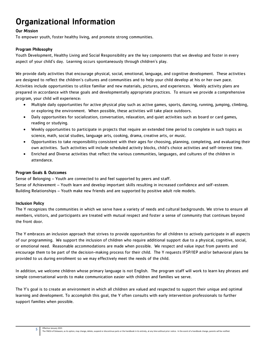## Organizational Information

#### Our Mission

To empower youth, foster healthy living, and promote strong communities.

#### Program Philosophy

Youth Development, Healthy Living and Social Responsibility are the key components that we develop and foster in every aspect of your child's day. Learning occurs spontaneously through children's play.

We provide daily activities that encourage physical, social, emotional, language, and cognitive development. These activities are designed to reflect the children's cultures and communities and to help your child develop at his or her own pace. Activities include opportunities to utilize familiar and new materials, pictures, and experiences. Weekly activity plans are prepared in accordance with these goals and developmentally appropriate practices. To ensure we provide a comprehensive program, your child will experience:

- Multiple daily opportunities for active physical play such as active games, sports, dancing, running, jumping, climbing, or exploring the environment. When possible, these activities will take place outdoors.
- Daily opportunities for socialization, conversation, relaxation, and quiet activities such as board or card games, reading or studying.
- Weekly opportunities to participate in projects that require an extended time period to complete in such topics as science, math, social studies, language arts, cooking, drama, creative arts, or music.
- Opportunities to take responsibility consistent with their ages for choosing, planning, completing, and evaluating their own activities. Such activities will include scheduled activity blocks, child's choice activities and self-interest time.
- Enriched and Diverse activities that reflect the various communities, languages, and cultures of the children in attendance.

#### Program Goals & Outcomes

Sense of Belonging – Youth are connected to and feel supported by peers and staff.

Sense of Achievement – Youth learn and develop important skills resulting in increased confidence and self-esteem. Building Relationships – Youth make new friends and are supported by positive adult role models.

#### Inclusion Policy

The Y recognizes the communities in which we serve have a variety of needs and cultural backgrounds. We strive to ensure all members, visitors, and participants are treated with mutual respect and foster a sense of community that continues beyond the front door.

The Y embraces an inclusion approach that strives to provide opportunities for all children to actively participate in all aspects of our programming. We support the inclusion of children who require additional support due to a physical, cognitive, social, or emotional need. Reasonable accommodations are made when possible. We respect and value input from parents and encourage them to be part of the decision-making process for their child. The Y requests IFSP/IEP and/or behavioral plans be provided to us during enrollment so we may effectively meet the needs of the child.

In addition, we welcome children whose primary language is not English. The program staff will work to learn key phrases and simple conversational words to make communication easier with children and families we serve.

The Y's goal is to create an environment in which all children are valued and respected to support their unique and optimal learning and development. To accomplish this goal, the Y often consults with early intervention professionals to further support families when possible.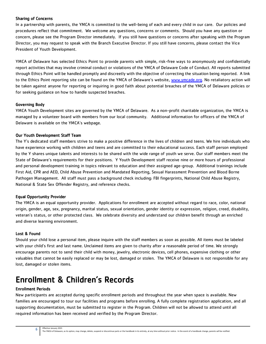#### Sharing of Concerns

In a partnership with parents, the YMCA is committed to the well-being of each and every child in our care. Our policies and procedures reflect that commitment. We welcome any questions, concerns or comments. Should you have any question or concern, please see the Program Director immediately. If you still have questions or concerns after speaking with the Program Director, you may request to speak with the Branch Executive Director. If you still have concerns, please contact the Vice President of Youth Development.

YMCA of Delaware has selected Ethics Point to provide parents with simple, risk-free ways to anonymously and confidentially report activities that may involve criminal conduct or violations of the YMCA of Delaware Code of Conduct. All reports submitted through Ethics Point will be handled promptly and discreetly with the objective of correcting the situation being reported. A link to the Ethics Point reporting site can be found on the YMCA of Delaware's website, [www.ymcade.org.](http://www.ymcade.org/) No retaliatory action will be taken against anyone for reporting or inquiring in good faith about potential breaches of the YMCA of Delaware policies or for seeking guidance on how to handle suspected breaches.

#### Governing Body

YMCA Youth Development sites are governed by the YMCA of Delaware. As a non-profit charitable organization, the YMCA is managed by a volunteer board with members from our local community. Additional information for officers of the YMCA of Delaware is available on the YMCA's webpage.

#### Our Youth Development Staff Team

The Y's dedicated staff members strive to make a positive difference in the lives of children and teens. We hire individuals who have experience working with children and teens and are committed to their educational success. Each staff person employed by the Y shares unique talents and interests to be shared with the wide range of youth we serve. Our staff members meet the State of Delaware's requirements for their positions. Y Youth Development staff receive nine or more hours of professional and personal development training in topics relevant to education and their assigned age-group. Additional trainings include First Aid, CPR and AED, Child Abuse Prevention and Mandated Reporting, Sexual Harassment Prevention and Blood Borne Pathogen Management. All staff must pass a background check including: FBI fingerprints, National Child Abuse Registry, National & State Sex Offender Registry, and reference checks.

#### Equal Opportunity Provider

The YMCA is an equal opportunity provider. Applications for enrollment are accepted without regard to race, color, national origin, gender, age, sex, pregnancy, marital status, sexual orientation, gender identity or expression, religion, creed, disability, veteran's status, or other protected class. We celebrate diversity and understand our children benefit through an enriched and diverse learning environment.

#### Lost & Found

Should your child lose a personal item, please inquire with the staff members as soon as possible. All items must be labeled with your child's first and last name. Unclaimed items are given to charity after a reasonable period of time. We strongly encourage parents not to send their child with money, jewelry, electronic devices, cell phones, expensive clothing or other valuables that cannot be easily replaced or may be lost, damaged or stolen. The YMCA of Delaware is not responsible for any lost, damaged or stolen items.

## Enrollment & Children's Records

#### Enrollment Periods

6

New participants are accepted during specific enrollment periods and throughout the year when space is available. New families are encouraged to tour our facilities and programs before enrolling. A fully complete registration application, and all supporting documentation, must be submitted to register in the Program. Children will not be allowed to attend until all required information has been received and verified by the Program Director.

#### Effective January 2021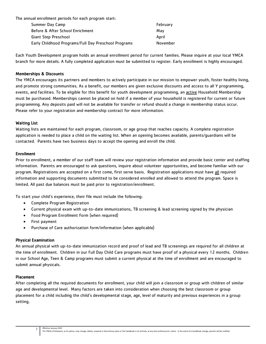The annual enrollment periods for each program start:

| Summer Day Camp                                      | February |
|------------------------------------------------------|----------|
| Before & After School Enrichment                     | Mav      |
| Giant Step Preschool                                 | April    |
| Early Childhood Programs/Full Day Preschool Programs | November |

Each Youth Development program holds an annual enrollment period for current families. Please inquire at your local YMCA branch for more details. A fully completed application must be submitted to register. Early enrollment is highly encouraged.

#### Memberships & Discounts

The YMCA encourages its partners and members to actively participate in our mission to empower youth, foster healthy living, and promote strong communities. As a benefit, our members are given exclusive discounts and access to all Y programming, events, and facilities. To be eligible for this benefit for youth development programming, an active Household Membership must be purchased. Memberships cannot be placed on hold if a member of your household is registered for current or future programming. Any deposits paid will not be available for transfer or refund should a change in membership status occur. Please refer to your registration and membership contract for more information.

#### Waiting List

Waiting lists are maintained for each program, classroom, or age group that reaches capacity. A complete registration application is needed to place a child on the waiting list. When an opening becomes available, parents/guardians will be contacted. Parents have two business days to accept the opening and enroll the child.

#### Enrollment

Prior to enrollment, a member of our staff team will review your registration information and provide basic center and staffing information. Parents are encouraged to ask questions, inquire about volunteer opportunities, and become familiar with our program. Registrations are accepted on a first come, first serve basis. Registration applications must have all required information and supporting documents submitted to be considered enrolled and allowed to attend the program. Space is limited. All past due balances must be paid prior to registration/enrollment.

To start your child's experience, their file must include the following:

- Complete Program Registration
- Current physical exam with up-to-date immunizations, TB screening & lead screening signed by the physician
- Food Program Enrollment Form (when required)
- First payment
- Purchase of Care authorization form/information (when applicable)

#### Physical Examination

An annual physical with up-to-date immunization record and proof of lead and TB screenings are required for all children at the time of enrollment. Children in our Full Day Child Care programs must have proof of a physical every 12 months. Children in our School Age, Teen & Camp programs must submit a current physical at the time of enrollment and are encouraged to submit annual physicals.

#### Placement

After completing all the required documents for enrollment, your child will join a classroom or group with children of similar age and developmental level. Many factors are taken into consideration when choosing the best classroom or group placement for a child including the child's developmental stage, age, level of maturity and previous experiences in a group setting.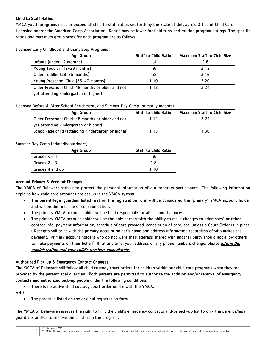#### Child to Staff Ratios

YMCA youth programs meet or exceed all child to staff ratios set forth by the State of Delaware's Office of Child Care Licensing and/or the American Camp Association. Ratios may be lower for field trips and routine program outings. The specific ratios and maximum group sizes for each program are as follows:

Licensed Early Childhood and Giant Step Programs

| Age Group                                         | <b>Staff to Child Ratio</b> | <b>Maximum Staff to Child Size</b> |
|---------------------------------------------------|-----------------------------|------------------------------------|
| Infants (under 12 months)                         | 1:4                         | 2:8                                |
| Young Toddler (12-23 months)                      | 1:6                         | 2:12                               |
| Older Toddler (23-35 months)                      | 1:8                         | 2:16                               |
| Young Preschool Child (36-47 months)              | 1:10                        | 2:20                               |
| Older Preschool Child (48 months or older and not | 1:12                        | 2:24                               |
| yet attending kindergarten or higher)             |                             |                                    |

Licensed Before & After School Enrichment, and Summer Day Camp (primarily indoors)

| Age Group                                           | <b>Staff to Child Ratio</b> | <b>Maximum Staff to Child Size</b> |
|-----------------------------------------------------|-----------------------------|------------------------------------|
| Older Preschool Child (48 months or older and not   | 1:12                        | 2:24                               |
| yet attending kindergarten or higher)               |                             |                                    |
| School-age child (attending kindergarten or higher) | 1:15                        | 1:30                               |

Summer Day Camp (primarily outdoors)

| Age Group       | <b>Staff to Child Ratio</b> |
|-----------------|-----------------------------|
| Grades $K-1$    | 1.6                         |
| Grades $2 - 3$  | 1:8                         |
| Grades 4 and up | 1:10                        |

#### Account Privacy & Account Changes

The YMCA of Delaware strives to protect the personal information of our program participants. The following information explains how child care accounts are set up in the YMCA system.

- The parent/legal guardian listed first on the registration form will be considered the "primary" YMCA account holder and will be the first line of communication.
- The primary YMCA account holder will be held responsible for all account balances.
- The primary YMCA account holder will be the only person with the ability to make changes to addresses\* or other contact info, payment information, schedule of care provided, cancelation of care, etc. unless a Court Order is in place (\*Receipts will print with the primary account holder's name and address information regardless of who makes the payment. Primary account holders who do not want their address shared with another party should not allow others to make payments on their behalf). If, at any time, your address or any phone numbers change, please *inform the* administration and your child's teachers immediately.

#### Authorized Pick-up & Emergency Contact Changes

The YMCA of Delaware will follow all child custody court orders for children within our child care programs when they are provided by the parent/legal guardian. Both parents are permitted to authorize the addition and/or removal of emergency contacts and authorized pick-up people under the following conditions:

There is no active child custody court order on file with the YMCA.

AND

The parent is listed on the original registration form.

The YMCA of Delaware reserves the right to limit the child's emergency contacts and/or pick-up list to only the parents/legal guardians and/or to remove the child from the program.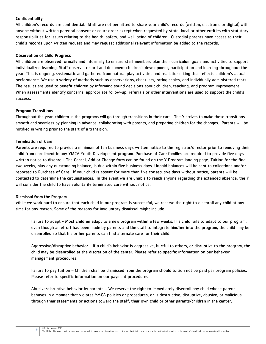#### Confidentiality

All children's records are confidential. Staff are not permitted to share your child's records (written, electronic or digital) with anyone without written parental consent or court order except when requested by state, local or other entities with statutory responsibilities for issues relating to the health, safety, and well-being of children. Custodial parents have access to their child's records upon written request and may request additional relevant information be added to the records.

#### Observation of Child Progress

All children are observed formally and informally to ensure staff members plan their curriculum goals and activities to support individualized learning. Staff observe, record and document children's development, participation and learning throughout the year. This is ongoing, systematic and gathered from natural play activities and realistic setting that reflects children's actual performance. We use a variety of methods such as observations, checklists, rating scales, and individually administered tests. The results are used to benefit children by informing sound decisions about children, teaching, and program improvement. When assessments identify concerns, appropriate follow-up, referrals or other interventions are used to support the child's success.

#### Program Transitions

Throughout the year, children in the programs will go through transitions in their care. The Y strives to make these transitions smooth and seamless by planning in advance, collaborating with parents, and preparing children for the changes. Parents will be notified in writing prior to the start of a transition.

#### Termination of Care

Parents are required to provide a minimum of ten business days written notice to the registrar/director prior to removing their child from enrollment in any YMCA Youth Development program. Purchase of Care families are required to provide five days written notice to disenroll. The Cancel, Add or Change form can be found on the Y Program landing page. Tuition for the final two weeks, plus any outstanding balance, is due within five business days. Unpaid balances will be sent to collections and/or reported to Purchase of Care. If your child is absent for more than five consecutive days without notice, parents will be contacted to determine the circumstances. In the event we are unable to reach anyone regarding the extended absence, the Y will consider the child to have voluntarily terminated care without notice.

#### Dismissal from the Program

While we work hard to ensure that each child in our program is successful, we reserve the right to disenroll any child at any time for any reason. Some of the reasons for involuntary dismissal might include:

Failure to adapt - Most children adapt to a new program within a few weeks. If a child fails to adapt to our program, even though an effort has been made by parents and the staff to integrate him/her into the program, the child may be disenrolled so that his or her parents can find alternate care for their child.

Aggressive/disruptive behavior - If a child's behavior is aggressive, hurtful to others, or disruptive to the program, the child may be disenrolled at the discretion of the center. Please refer to specific information on our behavior management procedures.

Failure to pay tuition – Children shall be dismissed from the program should tuition not be paid per program policies. Please refer to specific information on our payment procedures.

Abusive/disruptive behavior by parents – We reserve the right to immediately disenroll any child whose parent behaves in a manner that violates YMCA policies or procedures, or is destructive, disruptive, abusive, or malicious through their statements or actions toward the staff, their own child or other parents/children in the center.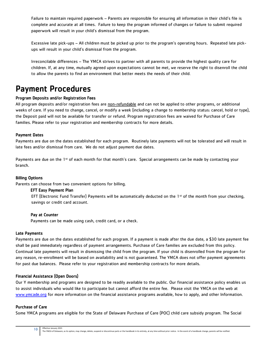Failure to maintain required paperwork – Parents are responsible for ensuring all information in their child's file is complete and accurate at all times. Failure to keep the program informed of changes or failure to submit required paperwork will result in your child's dismissal from the program.

Excessive late pick-ups – All children must be picked up prior to the program's operating hours. Repeated late pickups will result in your child's dismissal from the program.

Irreconcilable differences – The YMCA strives to partner with all parents to provide the highest quality care for children. If, at any time, mutually agreed upon expectations cannot be met, we reserve the right to disenroll the child to allow the parents to find an environment that better meets the needs of their child.

### Payment Procedures

#### Program Deposits and/or Registration Fees

All program deposits and/or registration fees are non-refundable and can not be applied to other programs, or additional weeks of care. If you need to change, cancel, or modify a week (including a change to membership status: cancel, hold or type), the Deposit paid will not be available for transfer or refund. Program registration fees are waived for Purchase of Care families. Please refer to your registration and membership contracts for more details.

#### Payment Dates

Payments are due on the dates established for each program. Routinely late payments will not be tolerated and will result in late fees and/or dismissal from care. We do not adjust payment due dates.

Payments are due on the 1st of each month for that month's care. Special arrangements can be made by contacting your branch.

#### Billing Options

Parents can choose from two convenient options for billing.

#### EFT Easy Payment Plan

EFT (Electronic Fund Transfer) Payments will be automatically deducted on the  $1st$  of the month from your checking, savings or credit card account.

#### Pay at Counter

Payments can be made using cash, credit card, or a check.

#### Late Payments

Payments are due on the dates established for each program. If a payment is made after the due date, a \$30 late payment fee shall be paid immediately regardless of payment arrangements. Purchase of Care families are excluded from this policy. Continual late payments will result in dismissing the child from the program. If your child is disenrolled from the program for any reason, re-enrollment will be based on availability and is not guaranteed. The YMCA does not offer payment agreements for past due balances. Please refer to your registration and membership contracts for more details.

#### Financial Assistance (Open Doors)

Our Y membership and programs are designed to be readily available to the public. Our financial assistance policy enables us to assist individuals who would like to participate but cannot afford the entire fee. Please visit the YMCA on the web at [www.ymcade.org](http://www.ymcade.org/) for more information on the financial assistance programs available, how to apply, and other Information.

#### Purchase of Care

10

Some YMCA programs are eligible for the State of Delaware Purchase of Care (POC) child care subsidy program. The Social

Effective January 2021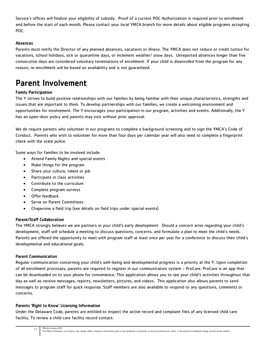Service's offices will finalize your eligibility of subsidy. Proof of a current POC Authorization is required prior to enrollment and before the start of each month. Please contact your local YMCA branch for more details about eligible programs accepting POC.

#### Absences

Parents must notify the Director of any planned absences, vacations or illness. The YMCA does not reduce or credit tuition for vacations, school holidays, sick or quarantine days, or inclement weather/ snow days. Unreported absences longer than five consecutive days are considered voluntary terminations of enrollment. If your child is disenrolled from the program for any reason, re-enrollment will be based on availability and is not guaranteed.

## Parent Involvement

#### Family Participation

The Y strives to build positive relationships with our families by being familiar with their unique characteristics, strengths and issues that are important to them. To develop partnerships with our families, we create a welcoming environment and opportunities for involvement. The Y encourages your participation in our program, activities and events. Additionally, the Y has an open-door policy and parents may visit without prior approval.

We do require parents who volunteer in our programs to complete a background screening and to sign the YMCA's Code of Conduct. Parents who wish to volunteer for more than four days per calendar year will also need to complete a fingerprint check with the state police.

Some ways for families to be involved include:

- Attend Family Nights and special events
- Make things for the program
- Share your culture, talent or job
- Participate in class activities
- Contribute to the curriculum
- Complete program surveys
- Offer feedback
- Serve on Parent Committees
- Chaperone a field trip (see details on field trips under special events)

#### Parent/Staff Collaboration

The YMCA strongly believes we are partners in your child's early development. Should a concern arise regarding your child's development, staff will schedule a meeting to discuss questions, concerns, and formulate a plan to meet the child's needs. Parents are offered the opportunity to meet with program staff at least once per year for a conference to discuss their child's developmental and educational goals.

#### Parent Communication

Regular communication concerning your child's well-being and developmental progress is a priority at the Y. Upon completion of all enrollment processes, parents are required to register in our communication system – ProCare. ProCare is an app that can be downloaded on to your phone for convenience. This application allows you to see your child's activities throughout that day as well as receive messages, reports, newsletters, pictures, and videos. This application also allows parents to send messages to program staff for quick response. Staff members are also available to respond to any questions, comments or concerns.

#### Parents 'Right to Know' Licensing Information

Under the Delaware Code, parents are entitled to inspect the active record and complaint files of any licensed child care facility. To review a child care facility record contact: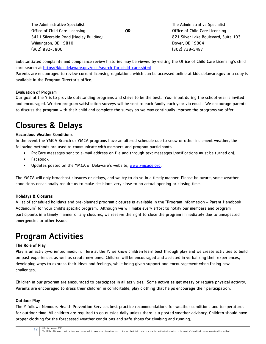| The Administrative Specialist          |    | The Administrative Specialist        |
|----------------------------------------|----|--------------------------------------|
| Office of Child Care Licensing         | OR | Office of Child Care Licensing       |
| 3411 Silverside Road (Hagley Building) |    | 821 Silver Lake Boulevard, Suite 103 |
| Wilmington, DE 19810                   |    | Dover, DE 19904                      |
| $(302)$ 892-5800                       |    | $(302)$ 739-5487                     |

Substantiated complaints and compliance review histories may be viewed by visiting the Office of Child Care Licensing's child care search at<https://kids.delaware.gov/occl/search-for-child-care.shtml>

Parents are encouraged to review current licensing regulations which can be accessed online at kids.delaware.gov or a copy is available in the Program Director's office.

#### Evaluation of Program

Our goal at the Y is to provide outstanding programs and strive to be the best. Your input during the school year is invited and encouraged. Written program satisfaction surveys will be sent to each family each year via email. We encourage parents to discuss the program with their child and complete the survey so we may continually improve the programs we offer.

## Closures & Delays

#### Hazardous Weather Conditions

In the event the YMCA Branch or YMCA programs have an altered schedule due to snow or other inclement weather, the following methods are used to communicate with members and program participants.

- ProCare messages sent to e-mail address on file and through text messages (notifications must be turned on).
- Facebook
- Updates posted on the YMCA of Delaware's website, [www.ymcade.org.](http://www.ymcade.org/)

The YMCA will only broadcast closures or delays, and we try to do so in a timely manner. Please be aware, some weather conditions occasionally require us to make decisions very close to an actual opening or closing time.

#### Holidays & Closures

A list of scheduled holidays and pre-planned program closures is available in the "Program Information – Parent Handbook Addendum" for your child's specific program. Although we will make every effort to notify our members and program participants in a timely manner of any closures, we reserve the right to close the program immediately due to unexpected emergencies or other issues.

## Program Activities

#### The Role of Play

Play is an activity-oriented medium. Here at the Y, we know children learn best through play and we create activities to build on past experiences as well as create new ones. Children will be encouraged and assisted in verbalizing their experiences, developing ways to express their ideas and feelings, while being given support and encouragement when facing new challenges.

Children in our program are encouraged to participate in all activities. Some activities get messy or require physical activity. Parents are encouraged to dress their children in comfortable, play clothing that helps encourage their participation.

#### Outdoor Play

The Y follows Nemours Health Prevention Services best practice recommendations for weather conditions and temperatures for outdoor time. All children are required to go outside daily unless there is a posted weather advisory. Children should have proper clothing for the forecasted weather conditions and safe shoes for climbing and running.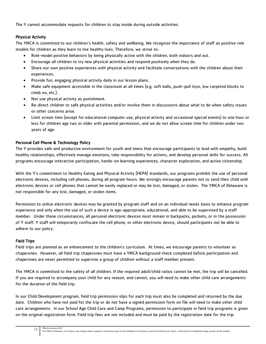The Y cannot accommodate requests for children to stay inside during outside activities.

#### Physical Activity

The YMCA is committed to our children's health, safety and wellbeing. We recognize the importance of staff as positive role models for children as they learn to live healthy lives. Therefore, we strive to:

- Role-model positive behaviors by being physically active with the children, both indoors and out.
- Encourage all children to try new physical activities and respond positively when they do.
- Share our own positive experiences with physical activity and facilitate conversations with the children about their experiences.
- Provide fun, engaging physical activity daily in our lesson plans.
- Make safe equipment accessible in the classroom at all times (e.g. soft balls, push-pull toys, low carpeted blocks to climb on, etc.).
- Not use physical activity as punishment.
- Re-direct children to safe physical activities and/or involve them in discussions about what to do when safety issues or other concerns arise.
- Limit screen time (except for educational computer use, physical activity and occasional special events) to one hour or less for children age two or older with parental permission, and we do not allow screen time for children under two years of age.

#### Personal Cell Phone & Technology Policy

The Y provides safe and productive environment for youth and teens that encourage participants to lead with empathy, build healthy relationships, effectively manage emotions, take responsibility for actions, and develop personal skills for success. All programs encourage interactive participation, hands-on learning experiences, character exploration, and active citizenship.

With the Y's commitment to Healthy Eating and Physical Activity (HEPA) standards, our programs prohibit the use of personal electronic devices, including cell phones, during all program hours. We strongly encourage parents not to send their child with electronic devices or cell phones that cannot be easily replaced or may be lost, damaged, or stolen. The YMCA of Delaware is not responsible for any lost, damaged, or stolen items.

Permission to utilize electronic devices may be granted by program staff and on an individual needs basis to enhance program experience and only when the use of such a device is age-appropriate, educational, and able to be supervised by a staff member. Under these circumstances, all personal electronic devices must remain in backpacks, pockets, or in the possession of Y staff. Y staff will temporarily confiscate the cell phone, or other electronic device, should participants not be able to adhere to our policy.

#### Field Trips

Field trips are planned as an enhancement to the children's curriculum. At times, we encourage parents to volunteer as chaperones. However, all field trip chaperones must have a YMCA background check completed before participation and chaperones are never permitted to supervise a group of children without a staff member present.

The YMCA is committed to the safety of all children. If the required adult/child ratios cannot be met, the trip will be cancelled. If you are required to accompany your child for any reason, and cannot, you will need to make other child care arrangements for the duration of the field trip.

In our Child Development program, field trip permission slips for each trip must also be completed and returned by the due date. Children who have not paid for the trip or do not have a signed permission form on file will need to make other child care arrangements. In our School Age Child Care and Camp Programs, permission to participate in field trip programs is given on the original registration form. Field trip fees are not included and must be paid by the registration date for the trip.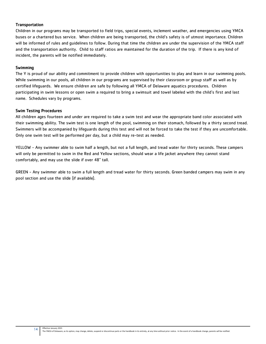#### **Transportation**

Children in our programs may be transported to field trips, special events, inclement weather, and emergencies using YMCA buses or a chartered bus service. When children are being transported, the child's safety is of utmost importance. Children will be informed of rules and guidelines to follow. During that time the children are under the supervision of the YMCA staff and the transportation authority. Child to staff ratios are maintained for the duration of the trip. If there is any kind of incident, the parents will be notified immediately.

#### Swimming

The Y is proud of our ability and commitment to provide children with opportunities to play and learn in our swimming pools. While swimming in our pools, all children in our programs are supervised by their classroom or group staff as well as by certified lifeguards. We ensure children are safe by following all YMCA of Delaware aquatics procedures. Children participating in swim lessons or open swim a required to bring a swimsuit and towel labeled with the child's first and last name. Schedules vary by programs.

#### Swim Testing Procedures

All children ages fourteen and under are required to take a swim test and wear the appropriate band color associated with their swimming ability. The swim test is one length of the pool, swimming on their stomach, followed by a thirty second tread. Swimmers will be accompanied by lifeguards during this test and will not be forced to take the test if they are uncomfortable. Only one swim test will be performed per day, but a child may re-test as needed.

YELLOW - Any swimmer able to swim half a length, but not a full length, and tread water for thirty seconds. These campers will only be permitted to swim in the Red and Yellow sections, should wear a life jacket anywhere they cannot stand comfortably, and may use the slide if over 48" tall.

GREEN - Any swimmer able to swim a full length and tread water for thirty seconds. Green banded campers may swim in any pool section and use the slide (if available).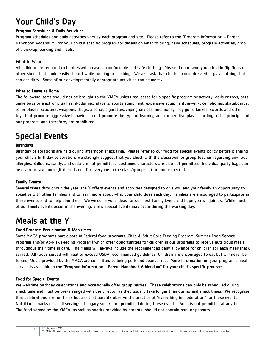## Your Child's Day

#### Program Schedules & Daily Activities

Program schedules and daily activities vary by each program and site. Please refer to the "Program Information – Parent Handbook Addendum" for your child's specific program for details on what to bring, daily schedules, program activities, drop off, pick-up, parking and meals.

#### What to Wear

All children are required to be dressed in casual, comfortable and safe clothing. Please do not send your child in flip flops or other shoes that could easily slip off while running or climbing. We also ask that children come dressed in play clothing that can get dirty. Some of our developmentally appropriate activities can be messy.

#### What to Leave at Home

The following items should not be brought to the YMCA unless requested for a specific program or activity: dolls or toys, pets, game boys or electronic games, iPods/mp3 players, sports equipment, expensive equipment, jewelry, cell phones, skateboards, roller blades, scooters, weapons, drugs, alcohol, cigarettes/vaping devices, and money. Toy guns, knives, swords and other toys that promote aggressive behavior do not promote the type of learning and cooperative play according to the principles of our program, and therefore, are prohibited.

## Special Events

#### Birthdays

Birthday celebrations are held during afternoon snack time. Please refer to our food for special events policy before planning your child's birthday celebration. We strongly suggest that you check with the classroom or group teacher regarding any food allergies. Balloons, candy, and soda are not permitted. Costumed characters are also not permitted. Individual party bags can be given to take home (if there is one for everyone in the class/group) but are not expected.

#### Family Events

Several times throughout the year, the Y offers events and activities designed to give you and your family an opportunity to socialize with other families and to learn more about what your child does each day. Families are encouraged to participate in these events and to help plan them. We welcome your ideas for our next Family Event and hope you will join us. While most of our family events occur in the evening, a few special events may occur during the working day.

## Meals at the Y

#### Food Program Participation & Mealtimes

Some YMCA programs participate in Federal food programs (Child & Adult Care Feeding Program, Summer Food Service Program and/or At-Risk Feeding Program) which offer opportunities for children in our programs to receive nutritious meals throughout their time in care. The meals will always include the recommended daily allowance for children for each meal/snack served. All foods served will meet or exceed USDA recommended guidelines. Children are encouraged to eat but will never be forced. Meals provided by the YMCA are committed to being pork and peanut free. More information on your program's meal service is available in the "Program Information – Parent Handbook Addendum" for your child's specific program.

#### Food for Special Events

15

We welcome birthday celebrations and occasionally offer group parties. These celebrations can only be scheduled during snack time and must be pre-arranged with the director as they usually take longer than our normal snack times. We recognize that celebrations are fun times but ask that parents observe the practice of "everything in moderation" for these events. Nutritious snacks or small servings of sugary snacks are permitted during these events. Soda is not permitted at any time. The food served by the YMCA, as well as snacks provided by parents, should not contain pork or peanuts.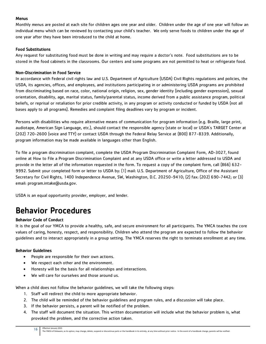#### **Menus**

Monthly menus are posted at each site for children ages one year and older. Children under the age of one year will follow an individual menu which can be reviewed by contacting your child's teacher. We only serve foods to children under the age of one year after they have been introduced to the child at home.

#### Food Substitutions

Any request for substituting food must be done in writing and may require a doctor's note. Food substitutions are to be stored in the food cabinets in the classrooms. Our centers and some programs are not permitted to heat or refrigerate food.

#### Non-Discrimination in Food Service

In accordance with Federal civil rights law and U.S. Department of Agriculture (USDA) Civil Rights regulations and policies, the USDA, its agencies, offices, and employees, and institutions participating in or administering USDA programs are prohibited from discriminating based on race, color, national origin, religion, sex, gender identity (including gender expression), sexual orientation, disability, age, marital status, family/parental status, income derived from a public assistance program, political beliefs, or reprisal or retaliation for prior credible activity, in any program or activity conducted or funded by USDA (not all bases apply to all programs). Remedies and complaint filing deadlines vary by program or incident.

Persons with disabilities who require alternative means of communication for program information (e.g. Braille, large print, audiotape, American Sign Language, etc.), should contact the responsible agency (state or local) or USDA's TARGET Center at (202) 720-2600 (voice and TTY) or contact USDA through the Federal Relay Service at (800) 877-8339. Additionally, program information may be made available in languages other than English.

To file a program discrimination complaint, complete the USDA Program Discrimination Complaint Form, AD-3027, found online at [How to File a Program Discrimination Complaint](https://www.ascr.usda.gov/how-file-program-discrimination-complaint) and at any USDA office or write a letter addressed to USDA and provide in the letter all of the information requested in the form. To request a copy of the complaint form, call (866) 632- 9992. Submit your completed form or letter to USDA by: (1) mail: U.S. Department of Agriculture, Office of the Assistant Secretary for Civil Rights, 1400 Independence Avenue, SW, Washington, D.C. 20250-9410; (2) fax: (202) 690-7442; or (3) email: [program.intake@usda.gov.](mailto:program.intake@usda.gov)

USDA is an equal opportunity provider, employer, and lender.

## Behavior Procedures

#### Behavior Code of Conduct

It is the goal of our YMCA to provide a healthy, safe, and secure environment for all participants. The YMCA teaches the core values of caring, honesty, respect, and responsibility. Children who attend the program are expected to follow the behavior guidelines and to interact appropriately in a group setting. The YMCA reserves the right to terminate enrollment at any time.

#### Behavior Guidelines

- People are responsible for their own actions.
- We respect each other and the environment.
- Honesty will be the basis for all relationships and interactions.
- We will care for ourselves and those around us.

When a child does not follow the behavior guidelines, we will take the following steps:

- 1. Staff will redirect the child to more appropriate behavior.
- 2. The child will be reminded of the behavior guidelines and program rules, and a discussion will take place.
- 3. If the behavior persists, a parent will be notified of the problem.
- 4. The staff will document the situation. This written documentation will include what the behavior problem is, what provoked the problem, and the corrective action taken.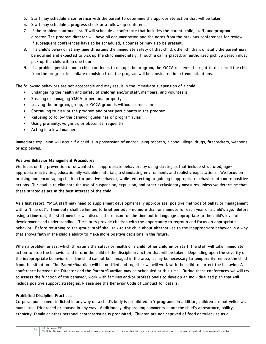- 5. Staff may schedule a conference with the parent to determine the appropriate action that will be taken.
- 6. Staff may schedule a progress check or a follow-up conference.
- 7. If the problem continues, staff will schedule a conference that includes the parent, child, staff, and program director. The program director will have all documentation and the notes from the previous conferences for review. If subsequent conferences have to be scheduled, a counselor may also be present.
- 8. If a child's behavior at any time threatens the immediate safety of that child, other children, or staff, the parent may be notified and expected to pick up the child immediately. If such a call is placed, an authorized pick up person must pick up the child within one hour.
- 9. If a problem persists and a child continues to disrupt the program, the YMCA reserves the right to dis-enroll the child from the program. Immediate expulsion from the program will be considered in extreme situations.

The following behaviors are not acceptable and may result in the immediate suspension of a child:

- Endangering the health and safety of children and/or staff, members, and volunteers
- Stealing or damaging YMCA or personal property
- Leaving the program, group, or YMCA grounds without permission
- Continuing to disrupt the program and other participants in the program.
- Refusing to follow the behavior guidelines or program rules
- Using profanity, vulgarity, or obscenity frequently
- Acting in a lewd manner

Immediate expulsion will occur if a child is in possession of and/or using tobacco, alcohol, illegal drugs, firecrackers, weapons, or explosives.

#### Positive Behavior Management Procedures

We focus on the prevention of unwanted or inappropriate behaviors by using strategies that include structured, ageappropriate activities, educationally valuable materials, a stimulating environment, and realistic expectations. We focus on praising and encouraging children for positive behavior, while redirecting or guiding inappropriate behavior into more positive actions. Our goal is to eliminate the use of suspension, expulsion, and other exclusionary measures unless we determine that these strategies are in the best interest of the child.

As a last resort, YMCA staff may need to supplement developmentally appropriate, positive methods of behavior management with a "time out". Time outs shall be limited to brief periods – no more than one minute for each year of a child's age. Before using a time-out, the staff member will discuss the reason for the time out in language appropriate to the child's level of development and understanding. Time-outs provide children with the opportunity to regroup and focus on appropriate behavior. Before returning to the group, staff shall talk to the child about alternatives to the inappropriate behavior in a way that shows faith in the child's ability to make more positive decisions in the future.

When a problem arises, which threatens the safety or health of a child, other children or staff, the staff will take immediate action to stop the behavior and inform the child of the disciplinary action that will be taken. Depending upon the severity of the inappropriate behavior or if the child cannot be managed in the area, it may be necessary to temporarily remove the child from the situation. The Parent/Guardian will be notified and together we will work with the child to correct the behavior. A conference between the Director and the Parent/Guardian may be scheduled at this time. During these conferences we will try to assess the function of the behavior, work with families and/or professionals to develop an individualized plan that will include positive support strategies. Please see the Behavior Code of Conduct for details.

#### Prohibited Discipline Practices

Corporal punishment inflicted in any way on a child's body is prohibited in Y programs. In addition, children are not yelled at, humiliated, frightened or abused in any way. Additionally, disparaging comments about the child's appearance, ability, ethnicity, family or other personal characteristics is prohibited. Children are not deprived of food or toilet use as a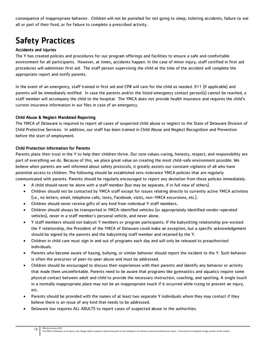consequence of inappropriate behavior. Children will not be punished for not going to sleep, toileting accidents, failure to eat all or part of their food, or for failure to complete a prescribed activity.

## Safety Practices

#### Accidents and Injuries

The Y has created policies and procedures for our program offerings and facilities to ensure a safe and comfortable environment for all participants. However, at times, accidents happen. In the case of minor injury, staff certified in first aid procedures will administer first aid. The staff person supervising the child at the time of the accident will complete the appropriate report and notify parents.

In the event of an emergency, staff trained in first aid and CPR will care for the child as needed. 911 (if applicable) and parents will be immediately notified. In case the parents and/or the listed emergency contact person(s) cannot be reached, a staff member will accompany the child to the hospital. The YMCA does not provide health insurance and requires the child's current insurance information in our files in case of an emergency.

#### Child Abuse & Neglect Mandated Reporting

The YMCA of Delaware is required to report all cases of suspected child abuse or neglect to the State of Delaware Division of Child Protective Services. In addition, our staff has been trained in Child Abuse and Neglect Recognition and Prevention before the start of employment.

#### Child Protection Information for Parents

Parents place their trust in the Y to help their children thrive. Our core values-caring, honesty, respect, and responsibility are part of everything we do. Because of this, we place great value on creating the most child-safe environment possible. We believe when parents are well informed about safety protocols, it greatly assists our constant vigilance of all who have potential access to children. The following should be established zero-tolerance YMCA policies that are regularly communicated with parents. Parents should be regularly encouraged to report any deviation from these policies immediately.

- A child should never be alone with a staff member (but may be separate, if in full view of others).
- Children should not be contacted by YMCA staff except for issues relating directly to currently active YMCA activities (i.e., no letters, email, telephone calls, texts, Facebook, visits, non-YMCA excursions, etc.).
- Children should never receive gifts of any kind from individual Y staff members.
- Children should always be transported in YMCA-identified vehicles (or appropriately identified vendor-operated vehicles), never in a staff member's personal vehicle, and never alone.
- Y staff members should not babysit Y members or program participants. If the babysitting relationship pre-existed the Y relationship, the President of the YMCA of Delaware could make an exception, but a specific acknowledgement should be signed by the parents and the babysitting staff member and retained by the Y.
- Children in child care must sign in and out of programs each day and will only be released to preauthorized individuals.
- Parents who become aware of hazing, bullying, or similar behavior should report the incident to the Y. Such behavior is often the precursor of peer-to-peer abuse and must be addressed.
- Children should be encouraged to discuss their experiences with their parents and identify any behavior or activity that made them uncomfortable. Parents need to be aware that programs like gymnastics and aquatics require some physical contact between adult and child to provide the necessary instruction, coaching, and spotting. A single touch in a normally inappropriate place may not be an inappropriate touch if it occurred while trying to prevent an injury, etc.
- Parents should be provided with the names of at least two separate Y individuals whom they may contact if they believe there is an issue of any kind that needs to be addressed.
- Delaware law requires ALL ADULTS to report cases of suspected abuse to the authorities.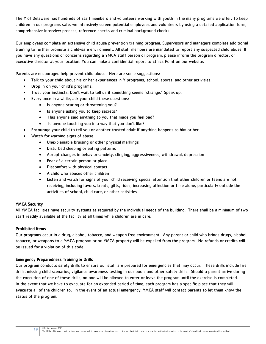The Y of Delaware has hundreds of staff members and volunteers working with youth in the many programs we offer. To keep children in our programs safe, we intensively screen potential employees and volunteers by using a detailed application form, comprehensive interview process, reference checks and criminal background checks.

Our employees complete an extensive child abuse prevention training program. Supervisors and managers complete additional training to further promote a child-safe environment. All staff members are mandated to report any suspected child abuse. If you have any questions or concerns regarding a YMCA staff person or program, please inform the program director, or executive director at your location. You can make a confidential report to Ethics Point on our website.

Parents are encouraged help prevent child abuse. Here are some suggestions:

- Talk to your child about his or her experiences in Y programs, school, sports, and other activities.
- Drop in on your child's programs.
- Trust your instincts. Don't wait to tell us if something seems "strange." Speak up!
- Every once in a while, ask your child these questions:
	- Is anyone scaring or threatening you?
	- Is anyone asking you to keep secrets?
	- Has anyone said anything to you that made you feel bad?
	- Is anyone touching you in a way that you don't like?
- Encourage your child to tell you or another trusted adult if anything happens to him or her.
- Watch for warning signs of abuse:
	- Unexplainable bruising or other physical markings
	- Disturbed sleeping or eating patterns
	- Abrupt changes in behavior-anxiety, clinging, aggressiveness, withdrawal, depression
	- Fear of a certain person or place
	- Discomfort with physical contact
	- A child who abuses other children
	- Listen and watch for signs of your child receiving special attention that other children or teens are not receiving, including favors, treats, gifts, rides, increasing affection or time alone, particularly outside the activities of school, child care, or other activities.

#### YMCA Security

All YMCA facilities have security systems as required by the individual needs of the building. There shall be a minimum of two staff readily available at the facility at all times while children are in care.

#### Prohibited Items

Our programs occur in a drug, alcohol, tobacco, and weapon free environment. Any parent or child who brings drugs, alcohol, tobacco, or weapons to a YMCA program or on YMCA property will be expelled from the program. No refunds or credits will be issued for a violation of this code.

#### Emergency Preparedness Training & Drills

Our program conducts safety drills to ensure our staff are prepared for emergencies that may occur. These drills include fire drills, missing child scenarios, vigilance awareness testing in our pools and other safety drills. Should a parent arrive during the execution of one of these drills, no one will be allowed to enter or leave the program until the exercise is completed. In the event that we have to evacuate for an extended period of time, each program has a specific place that they will evacuate all of the children to. In the event of an actual emergency, YMCA staff will contact parents to let them know the status of the program.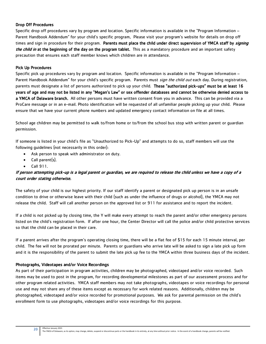#### Drop Off Procedures

Specific drop off procedures vary by program and location. Specific information is available in the "Program Information – Parent Handbook Addendum" for your child's specific program. Please visit your program's website for details on drop off times and sign in procedure for their program. Parents must place the child under direct supervision of YMCA staff by signing the child in at the beginning of the day on the program tablet. This as a mandatory procedure and an important safety precaution that ensures each staff member knows which children are in attendance.

#### Pick Up Procedures

Specific pick up procedures vary by program and location. Specific information is available in the "Program Information – Parent Handbook Addendum" for your child's specific program. Parents must sign the child out each day. During registration, parents must designate a list of persons authorized to pick up your child. These "authorized pick-ups" must be at least 16 years of age and may not be listed in any "Megan's Law" or sex offender databases and cannot be otherwise denied access to a YMCA of Delaware branch. All other persons must have written consent from you in advance. This can be provided via a ProCare message or in an e-mail. Photo identification will be requested of all unfamiliar people picking up your child. Please ensure that we have your current phone numbers and updated emergency contact information on file at all times.

School age children may be permitted to walk to/from home or to/from the school bus stop with written parent or guardian permission.

If someone is listed in your child's file as "Unauthorized to Pick-Up" and attempts to do so, staff members will use the following guidelines (not necessarily in this order):

- Ask person to speak with administrator on duty.
- Call parent(s).
- Call 911.

#### If person attempting pick-up is a legal parent or guardian, we are required to release the child unless we have a copy of a court order stating otherwise.

The safety of your child is our highest priority. If our staff identify a parent or designated pick up person is in an unsafe condition to drive or otherwise leave with their child (such as under the influence of drugs or alcohol), the YMCA may not release the child. Staff will call another person on the approved list or 911 for assistance and to report the incident.

If a child is not picked up by closing time, the Y will make every attempt to reach the parent and/or other emergency persons listed on the child's registration form. If after one hour, the Center Director will call the police and/or child protective services so that the child can be placed in their care.

If a parent arrives after the program's operating closing time, there will be a flat fee of \$15 for each 15 minute interval, per child. The fee will not be prorated per minute. Parents or guardians who arrive late will be asked to sign a late pick up form and it is the responsibility of the parent to submit the late pick up fee to the YMCA within three business days of the incident.

#### Photographs, Videotapes and/or Voice Recordings

As part of their participation in program activities, children may be photographed, videotaped and/or voice recorded. Such items may be used to post in the program, for recording developmental milestones as part of our assessment process and for other program related activities. YMCA staff members may not take photographs, videotapes or voice recordings for personal use and may not share any of these items except as necessary for work related reasons. Additionally, children may be photographed, videotaped and/or voice recorded for promotional purposes. We ask for parental permission on the child's enrollment form to use photographs, videotapes and/or voice recordings for this purpose.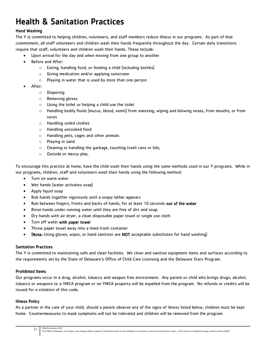## Health & Sanitation Practices

#### Hand Washing

The Y is committed to helping children, volunteers, and staff members reduce illness in our programs. As part of that commitment, all staff volunteers and children wash their hands frequently throughout the day. Certain daily transitions require that staff, volunteers and children wash their hands. These include:

- Upon arrival for the day and when moving from one group to another
- Before and After:
	- o Eating, handling food, or feeding a child (including bottles)
	- o Giving medication and/or applying sunscreen
	- o Playing in water that is used by more than one person
- After:
	- o Diapering
		- o Removing gloves
		- o Using the toilet or helping a child use the toilet
		- o Handling bodily fluids (mucus, blood, vomit) from sneezing, wiping and blowing noses, from mouths, or from sores
		- o Handling soiled clothes
		- o Handling uncooked food
		- o Handling pets, cages and other animals
		- o Playing in sand
		- o Cleaning or handling the garbage, touching trash cans or lids;
	- o Outside or messy play.

To encourage this practice at home, have the child wash their hands using the same methods used in our Y programs. While in our programs, children, staff and volunteers wash their hands using the following method:

- Turn on warm water
- Wet hands (water activates soap)
- Apply liquid soap
- Rub hands together vigorously until a soapy lather appears
- Rub between fingers, fronts and backs of hands, for at least 10 seconds out of the water
- Rinse hands under running water until they are free of dirt and soap
- Dry hands with air dryer, a clean disposable paper towel or single use cloth
- Turn off water with paper towel
- Throw paper towel away into a lined trash container
- (Note: Using gloves, wipes, or hand sanitizer are NOT acceptable substitutes for hand washing)

#### Sanitation Practices

The Y is committed to maintaining safe and clean facilities. We clean and sanitize equipment items and surfaces according to the requirements set by the State of Delaware's Office of Child Care Licensing and the Delaware Stars Program.

#### Prohibited Items

Our programs occur in a drug, alcohol, tobacco and weapon free environment. Any parent or child who brings drugs, alcohol, tobacco or weapons to a YMCA program or on YMCA property will be expelled from the program. No refunds or credits will be issued for a violation of this code.

#### Illness Policy

As a partner in the care of your child, should a parent observe any of the signs of illness listed below, children must be kept home. Countermeasures to mask symptoms will not be tolerated and children will be removed from the program.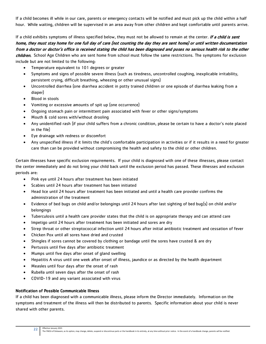If a child becomes ill while in our care, parents or emergency contacts will be notified and must pick up the child within a half hour. While waiting, children will be supervised in an area away from other children and kept comfortable until parents arrive.

If a child exhibits symptoms of illness specified below, they must not be allowed to remain at the center. If a child is sent home, they must stay home for one full day of care (not counting the day they are sent home) or until written documentation from a doctor or doctor's office is received stating the child has been diagnosed and poses no serious health risk to the other children. School Age Children who are sent home from school must follow the same restrictions. The symptoms for exclusion include but are not limited to the following:

- Temperature equivalent to 101 degrees or greater
- Symptoms and signs of possible severe illness (such as tiredness, uncontrolled coughing, inexplicable irritability, persistent crying, difficult breathing, wheezing or other unusual signs)
- Uncontrolled diarrhea (one diarrhea accident in potty trained children or one episode of diarrhea leaking from a diaper)
- Blood in stools
- Vomiting or excessive amounts of spit up (one occurrence)
- Ongoing stomach pain or intermittent pain associated with fever or other signs/symptoms
- Mouth & cold sores with/without drooling
- Any unidentified rash (if your child suffers from a chronic condition, please be certain to have a doctor's note placed in the file)
- Eye drainage with redness or discomfort
- Any unspecified illness if it limits the child's comfortable participation in activities or if it results in a need for greater care than can be provided without compromising the health and safety to the child or other children.

Certain illnesses have specific exclusion requirements. If your child is diagnosed with one of these illnesses, please contact the center immediately and do not bring your child back until the exclusion period has passed. These illnesses and exclusion periods are:

- Pink eye until 24 hours after treatment has been initiated
- Scabies until 24 hours after treatment has been initiated
- Head lice until 24 hours after treatment has been initiated and until a health care provider confirms the administration of the treatment
- Evidence of bed bugs on child and/or belongings until 24 hours after last sighting of bed bug(s) on child and/or belongings
- Tuberculosis until a health care provider states that the child is on appropriate therapy and can attend care
- Impetigo until 24 hours after treatment has been initiated and sores are dry
- Strep throat or other streptococcal infection until 24 hours after initial antibiotic treatment and cessation of fever
- Chicken Pox until all sores have dried and crusted
- Shingles if sores cannot be covered by clothing or bandage until the sores have crusted & are dry
- Pertussis until five days after antibiotic treatment
- Mumps until five days after onset of gland swelling
- Hepatitis A virus until one week after onset of illness, jaundice or as directed by the health department
- Measles until four days after the onset of rash
- Rubella until seven days after the onset of rash
- COVID-19 and any variant associated with virus

#### Notification of Possible Communicable Illness

If a child has been diagnosed with a communicable illness, please inform the Director immediately. Information on the symptoms and treatment of the illness will then be distributed to parents. Specific information about your child is never shared with other parents.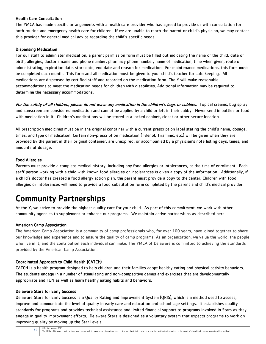#### Health Care Consultation

The YMCA has made specific arrangements with a health care provider who has agreed to provide us with consultation for both routine and emergency health care for children. If we are unable to reach the parent or child's physician, we may contact this provider for general medical advice regarding the child's specific needs.

#### Dispensing Medication

For our staff to administer medication, a parent permission form must be filled out indicating the name of the child, date of birth, allergies, doctor's name and phone number, pharmacy phone number, name of medication, time when given, route of administrating, expiration date, start date, end date and reason for medication. For maintenance medications, this form must be completed each month. This form and all medication must be given to your child's teacher for safe keeping. All medications are dispensed by certified staff and recorded on the medication form. The Y will make reasonable accommodations to meet the medication needs for children with disabilities. Additional information may be required to determine the necessary accommodations.

For the safety of all children, please do not leave any medication in the children's bags or cubbies. Topical creams, bug spray and sunscreen are considered medication and cannot be applied by a child or left in their cubby. Never send in bottles or food with medication in it. Children's medications will be stored in a locked cabinet, closet or other secure location.

All prescription medicines must be in the original container with a current prescription label stating the child's name, dosage, times, and type of medication. Certain non-prescription medication (Tylenol, Triaminic, etc.) will be given when they are provided by the parent in their original container, are unexpired, or accompanied by a physician's note listing days, times, and amounts of dosage.

#### Food Allergies

Parents must provide a complete medical history, including any food allergies or intolerances, at the time of enrollment. Each staff person working with a child with known food allergies or intolerances is given a copy of the information. Additionally, if a child's doctor has created a food allergy action plan, the parent must provide a copy to the center. Children with food allergies or intolerances will need to provide a food substitution form completed by the parent and child's medical provider.

## Community Partnerships

At the Y, we strive to provide the highest quality care for your child. As part of this commitment, we work with other community agencies to supplement or enhance our programs. We maintain active partnerships as described here.

#### American Camp Association

The American Camp Association is a community of camp professionals who, [for over 100 years,](http://www.acacamp.org/anniversary/) have joined together to share our knowledge and experience and to ensure the quality of camp programs. As an organization, we value the world, the people who live in it, and the contribution each individual can make. The YMCA of Delaware is committed to achieving the standards provided by the American Camp Association.

#### Coordinated Approach to Child Health (CATCH)

CATCH is a health program designed to help children and their families adopt healthy eating and physical activity behaviors. The students engage in a number of stimulating and non-competitive games and exercises that are developmentally appropriate and FUN as well as learn healthy eating habits and behaviors.

#### Delaware Stars for Early Success

Effective January 2021

Delaware Stars for Early Success is a Quality Rating and Improvement System (QRIS), which is a method used to assess, improve and communicate the level of quality in early care and education and school-age settings. It establishes quality standards for programs and provides technical assistance and limited financial support to programs involved in Stars as they engage in quality improvement efforts. Delaware Stars is designed as a voluntary system that expects programs to work on improving quality by moving up the Star Levels.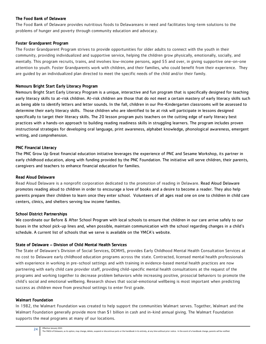#### The Food Bank of Delaware

The Food Bank of Delaware provides nutritious foods to Delawareans in need and facilitates long-term solutions to the problems of hunger and poverty through community education and advocacy.

#### Foster Grandparent Program

The Foster Grandparent Program strives to provide opportunities for older adults to connect with the youth in their community, providing individualized and supportive service, helping the children grow physically, emotionally, socially, and mentally. This program recruits, trains, and involves low-income persons, aged 55 and over, in giving supportive one-on-one attention to youth. Foster Grandparents work with children, and their families, who could benefit from their experience. They are guided by an individualized plan directed to meet the specific needs of the child and/or their family.

#### Nemours Bright Start Early Literacy Program

Nemours Bright Start Early Literacy Program is a unique, interactive and fun program that is specifically designed for teaching early literacy skills to at-risk children. At-risk children are those that do not meet a certain mastery of early literacy skills such as being able to identify letters and letter sounds. In the fall, children in our Pre-Kindergarten classrooms will be assessed to determine their early literacy skills. Those children who are identified to be at risk will participate in lessons designed specifically to target their literacy skills. The 20 lesson program puts teachers on the cutting edge of early literacy best practices with a hands-on approach to building reading readiness skills in struggling learners. The program includes proven instructional strategies for developing oral language, print awareness, alphabet knowledge, phonological awareness, emergent writing, and comprehension.

#### PNC Financial Literacy

The PNC Grow Up Great financial education initiative leverages the experience of PNC and Sesame Workshop, its partner in early childhood education, along with funding provided by the PNC Foundation. The initiative will serve children, their parents, caregivers and teachers to enhance financial education for families.

#### Read Aloud Delaware

Read Aloud Delaware is a nonprofit corporation dedicated to the promotion of reading in Delaware. Read Aloud Delaware promotes reading aloud to children in order to encourage a love of books and a desire to become a reader. They also help parents prepare their children to learn once they enter school. Volunteers of all ages read one on one to children in [child care](http://www.readalouddelaware.org/about.cfm) centers, clinics, and shelters serving [low income](http://www.readalouddelaware.org/about.cfm) families.

#### School District Partnerships

We coordinate our Before & After School Program with local schools to ensure that children in our care arrive safely to our buses in the school pick-up lines and, when possible, maintain communication with the school regarding changes in a child's schedule. A current list of schools that we serve is available on the YMCA's website.

#### State of Delaware – Division of Child Mental Health Services

The State of Delaware's Division of Social Services, DCMHS, provides Early Childhood Mental Health Consultation Services at no cost to Delaware early childhood education programs across the state. Contracted, licensed mental health professionals with experience in working in pre-school settings and with training in evidence-based mental health practices are now partnering with early child care provider staff, providing child-specific mental health consultations at the request of the programs and working together to decrease problem behaviors while increasing positive, prosocial behaviors to promote the child's social and emotional wellbeing. Research shows that social-emotional wellbeing is most important when predicting success as children move from preschool settings to enter first grade.

#### Walmart Foundation

24

In 1982, the Walmart Foundation was created to help support the communities Walmart serves. Together, Walmart and the Walmart Foundation generally provide more than \$1 billion in cash and in-kind annual giving. The Walmart Foundation supports the meal programs at many of our locations.